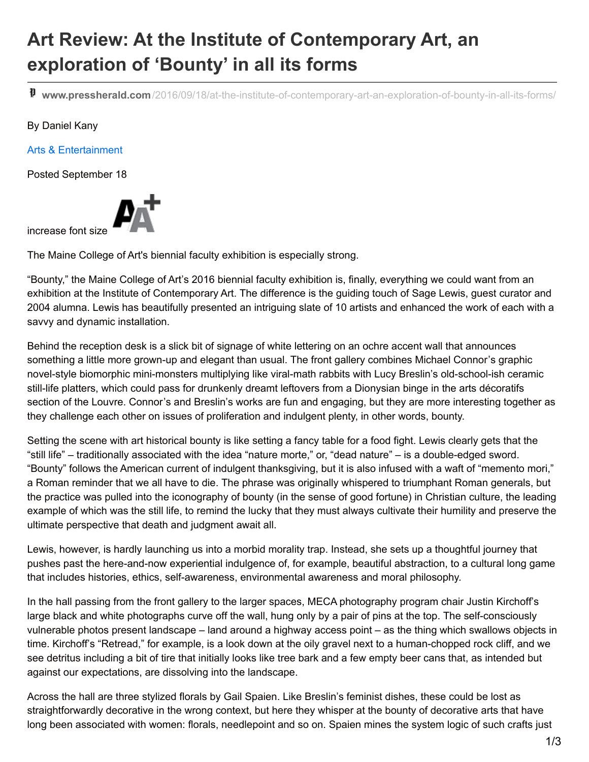## **Art Review: At the Institute of Contemporary Art, an exploration of 'Bounty' in all its forms**

**www.pressherald.com**[/2016/09/18/at-the-institute-of-contemporary-art-an-exploration-of-bounty-in-all-its-forms/](http://www.pressherald.com/2016/09/18/at-the-institute-of-contemporary-art-an-exploration-of-bounty-in-all-its-forms/)

## By Daniel Kany

Arts & Entertainment

Posted September 18



increase font size

The Maine College of Art's biennial faculty exhibition is especially strong.

"Bounty," the Maine College of Art's 2016 biennial faculty exhibition is, finally, everything we could want from an exhibition at the Institute of Contemporary Art. The difference is the guiding touch of Sage Lewis, guest curator and 2004 alumna. Lewis has beautifully presented an intriguing slate of 10 artists and enhanced the work of each with a savvy and dynamic installation.

Behind the reception desk is a slick bit of signage of white lettering on an ochre accent wall that announces something a little more grown-up and elegant than usual. The front gallery combines Michael Connor's graphic novel-style biomorphic mini-monsters multiplying like viral-math rabbits with Lucy Breslin's old-school-ish ceramic still-life platters, which could pass for drunkenly dreamt leftovers from a Dionysian binge in the arts décoratifs section of the Louvre. Connor's and Breslin's works are fun and engaging, but they are more interesting together as they challenge each other on issues of proliferation and indulgent plenty, in other words, bounty.

Setting the scene with art historical bounty is like setting a fancy table for a food fight. Lewis clearly gets that the "still life" – traditionally associated with the idea "nature morte," or, "dead nature" – is a double-edged sword. "Bounty" follows the American current of indulgent thanksgiving, but it is also infused with a waft of "memento mori," a Roman reminder that we all have to die. The phrase was originally whispered to triumphant Roman generals, but the practice was pulled into the iconography of bounty (in the sense of good fortune) in Christian culture, the leading example of which was the still life, to remind the lucky that they must always cultivate their humility and preserve the ultimate perspective that death and judgment await all.

Lewis, however, is hardly launching us into a morbid morality trap. Instead, she sets up a thoughtful journey that pushes past the here-and-now experiential indulgence of, for example, beautiful abstraction, to a cultural long game that includes histories, ethics, self-awareness, environmental awareness and moral philosophy.

In the hall passing from the front gallery to the larger spaces, MECA photography program chair Justin Kirchoff's large black and white photographs curve off the wall, hung only by a pair of pins at the top. The self-consciously vulnerable photos present landscape – land around a highway access point – as the thing which swallows objects in time. Kirchoff's "Retread," for example, is a look down at the oily gravel next to a human-chopped rock cliff, and we see detritus including a bit of tire that initially looks like tree bark and a few empty beer cans that, as intended but against our expectations, are dissolving into the landscape.

Across the hall are three stylized florals by Gail Spaien. Like Breslin's feminist dishes, these could be lost as straightforwardly decorative in the wrong context, but here they whisper at the bounty of decorative arts that have long been associated with women: florals, needlepoint and so on. Spaien mines the system logic of such crafts just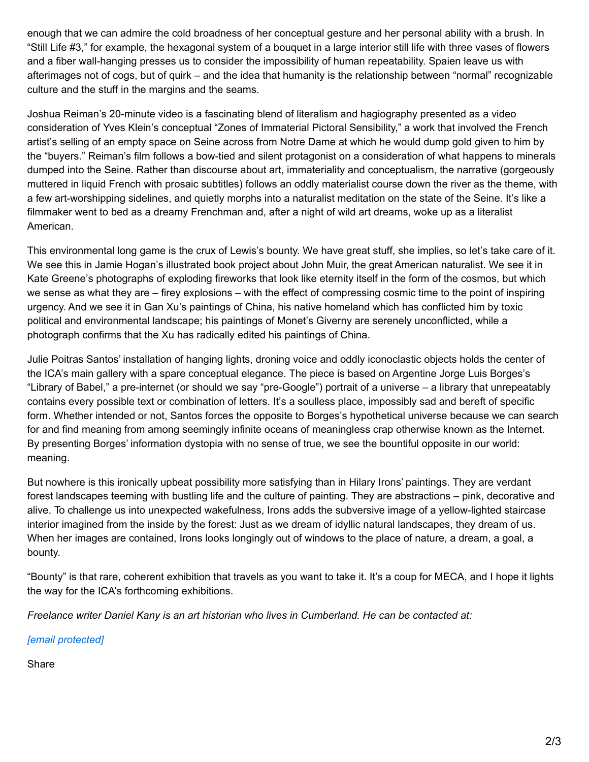enough that we can admire the cold broadness of her conceptual gesture and her personal ability with a brush. In "Still Life #3," for example, the hexagonal system of a bouquet in a large interior still life with three vases of flowers and a fiber wall-hanging presses us to consider the impossibility of human repeatability. Spaien leave us with afterimages not of cogs, but of quirk – and the idea that humanity is the relationship between "normal" recognizable culture and the stuff in the margins and the seams.

Joshua Reiman's 20-minute video is a fascinating blend of literalism and hagiography presented as a video consideration of Yves Klein's conceptual "Zones of Immaterial Pictoral Sensibility," a work that involved the French artist's selling of an empty space on Seine across from Notre Dame at which he would dump gold given to him by the "buyers." Reiman's film follows a bow-tied and silent protagonist on a consideration of what happens to minerals dumped into the Seine. Rather than discourse about art, immateriality and conceptualism, the narrative (gorgeously muttered in liquid French with prosaic subtitles) follows an oddly materialist course down the river as the theme, with a few art-worshipping sidelines, and quietly morphs into a naturalist meditation on the state of the Seine. It's like a filmmaker went to bed as a dreamy Frenchman and, after a night of wild art dreams, woke up as a literalist American.

This environmental long game is the crux of Lewis's bounty. We have great stuff, she implies, so let's take care of it. We see this in Jamie Hogan's illustrated book project about John Muir, the great American naturalist. We see it in Kate Greene's photographs of exploding fireworks that look like eternity itself in the form of the cosmos, but which we sense as what they are – firey explosions – with the effect of compressing cosmic time to the point of inspiring urgency. And we see it in Gan Xu's paintings of China, his native homeland which has conflicted him by toxic political and environmental landscape; his paintings of Monet's Giverny are serenely unconflicted, while a photograph confirms that the Xu has radically edited his paintings of China.

Julie Poitras Santos' installation of hanging lights, droning voice and oddly iconoclastic objects holds the center of the ICA's main gallery with a spare conceptual elegance. The piece is based on Argentine Jorge Luis Borges's "Library of Babel," a pre-internet (or should we say "pre-Google") portrait of a universe – a library that unrepeatably contains every possible text or combination of letters. It's a soulless place, impossibly sad and bereft of specific form. Whether intended or not, Santos forces the opposite to Borges's hypothetical universe because we can search for and find meaning from among seemingly infinite oceans of meaningless crap otherwise known as the Internet. By presenting Borges' information dystopia with no sense of true, we see the bountiful opposite in our world: meaning.

But nowhere is this ironically upbeat possibility more satisfying than in Hilary Irons' paintings. They are verdant forest landscapes teeming with bustling life and the culture of painting. They are abstractions – pink, decorative and alive. To challenge us into unexpected wakefulness, Irons adds the subversive image of a yellow-lighted staircase interior imagined from the inside by the forest: Just as we dream of idyllic natural landscapes, they dream of us. When her images are contained, Irons looks longingly out of windows to the place of nature, a dream, a goal, a bounty.

"Bounty" is that rare, coherent exhibition that travels as you want to take it. It's a coup for MECA, and I hope it lights the way for the ICA's forthcoming exhibitions.

*Freelance writer Daniel Kany is an art historian who lives in Cumberland. He can be contacted at:*

*[email [protected\]](http://www.pressherald.com/cdn-cgi/l/email-protection)*

Share